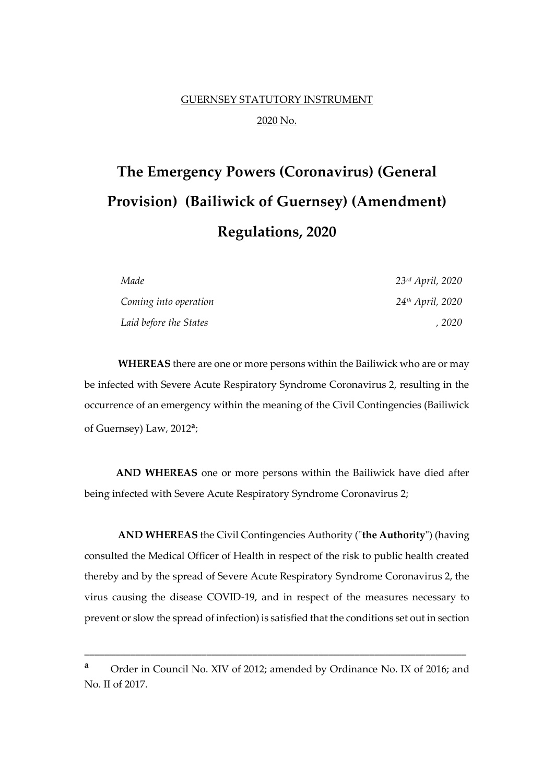## GUERNSEY STATUTORY INSTRUMENT 2020 No.

# **The Emergency Powers (Coronavirus) (General Provision) (Bailiwick of Guernsey) (Amendment) Regulations, 2020**

| Made                   | 23rd April, 2020 |
|------------------------|------------------|
| Coming into operation  | 24th April, 2020 |
| Laid before the States | , 2020           |

**WHEREAS** there are one or more persons within the Bailiwick who are or may be infected with Severe Acute Respiratory Syndrome Coronavirus 2, resulting in the occurrence of an emergency within the meaning of the Civil Contingencies (Bailiwick of Guernsey) Law, 2012**<sup>a</sup>** ;

**AND WHEREAS** one or more persons within the Bailiwick have died after being infected with Severe Acute Respiratory Syndrome Coronavirus 2;

**AND WHEREAS** the Civil Contingencies Authority ("**the Authority**") (having consulted the Medical Officer of Health in respect of the risk to public health created thereby and by the spread of Severe Acute Respiratory Syndrome Coronavirus 2, the virus causing the disease COVID-19, and in respect of the measures necessary to prevent or slow the spread of infection) is satisfied that the conditions set out in section

\_\_\_\_\_\_\_\_\_\_\_\_\_\_\_\_\_\_\_\_\_\_\_\_\_\_\_\_\_\_\_\_\_\_\_\_\_\_\_\_\_\_\_\_\_\_\_\_\_\_\_\_\_\_\_\_\_\_\_\_\_\_\_\_\_\_\_\_\_\_\_\_\_\_\_

**<sup>a</sup>** Order in Council No. XIV of 2012; amended by Ordinance No. IX of 2016; and No. II of 2017.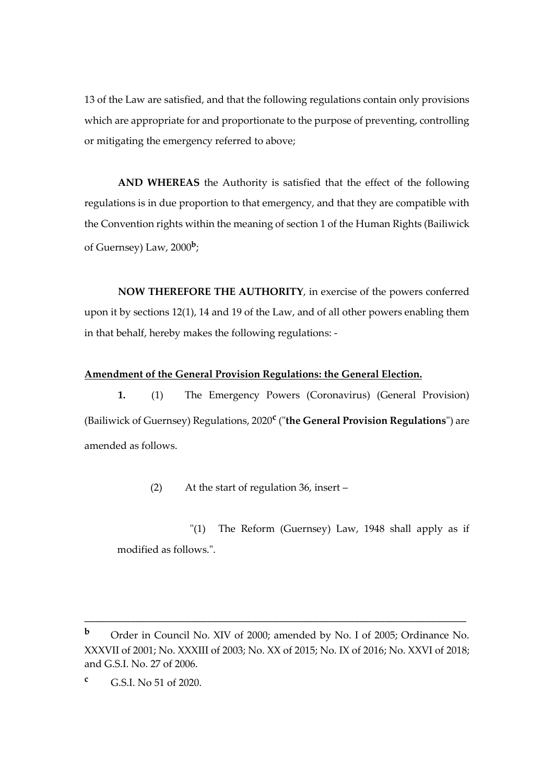13 of the Law are satisfied, and that the following regulations contain only provisions which are appropriate for and proportionate to the purpose of preventing, controlling or mitigating the emergency referred to above;

**AND WHEREAS** the Authority is satisfied that the effect of the following regulations is in due proportion to that emergency, and that they are compatible with the Convention rights within the meaning of section 1 of the Human Rights (Bailiwick of Guernsey) Law, 2000**<sup>b</sup>** ;

**NOW THEREFORE THE AUTHORITY**, in exercise of the powers conferred upon it by sections 12(1), 14 and 19 of the Law, and of all other powers enabling them in that behalf, hereby makes the following regulations: -

#### **Amendment of the General Provision Regulations: the General Election.**

**1.** (1) The Emergency Powers (Coronavirus) (General Provision) (Bailiwick of Guernsey) Regulations, 2020**<sup>c</sup>** ("**the General Provision Regulations**") are amended as follows.

(2) At the start of regulation 36, insert –

"(1) The Reform (Guernsey) Law, 1948 shall apply as if modified as follows.".

\_\_\_\_\_\_\_\_\_\_\_\_\_\_\_\_\_\_\_\_\_\_\_\_\_\_\_\_\_\_\_\_\_\_\_\_\_\_\_\_\_\_\_\_\_\_\_\_\_\_\_\_\_\_\_\_\_\_\_\_\_\_\_\_\_\_\_\_\_\_\_\_\_\_\_

**<sup>b</sup>** Order in Council No. XIV of 2000; amended by No. I of 2005; Ordinance No. XXXVII of 2001; No. XXXIII of 2003; No. XX of 2015; No. IX of 2016; No. XXVI of 2018; and G.S.I. No. 27 of 2006.

**<sup>c</sup>** G.S.I. No 51 of 2020.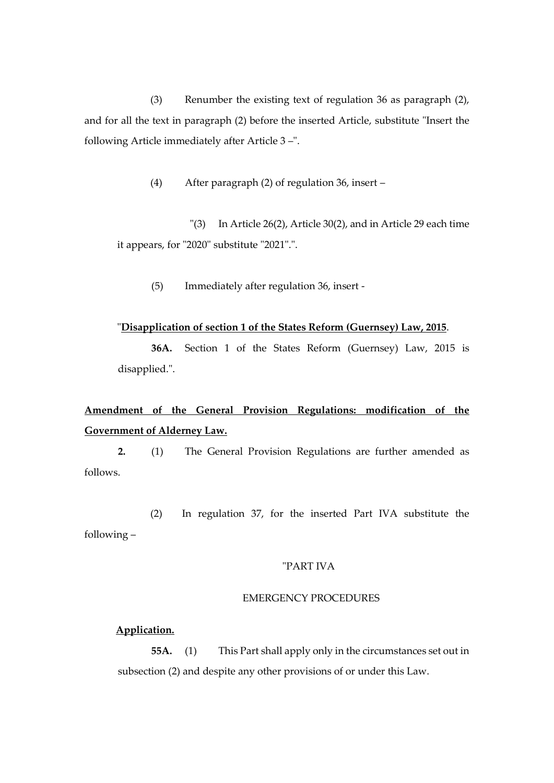(3) Renumber the existing text of regulation 36 as paragraph (2), and for all the text in paragraph (2) before the inserted Article, substitute "Insert the following Article immediately after Article 3 –".

(4) After paragraph (2) of regulation 36, insert –

"(3) In Article 26(2), Article 30(2), and in Article 29 each time it appears, for "2020" substitute "2021".".

(5) Immediately after regulation 36, insert -

#### "**Disapplication of section 1 of the States Reform (Guernsey) Law, 2015**.

**36A.** Section 1 of the States Reform (Guernsey) Law, 2015 is disapplied.".

## **Amendment of the General Provision Regulations: modification of the Government of Alderney Law.**

**2.** (1) The General Provision Regulations are further amended as follows.

(2) In regulation 37, for the inserted Part IVA substitute the following –

#### "PART IVA

#### EMERGENCY PROCEDURES

#### **Application.**

**55A.** (1) This Part shall apply only in the circumstances set out in subsection (2) and despite any other provisions of or under this Law.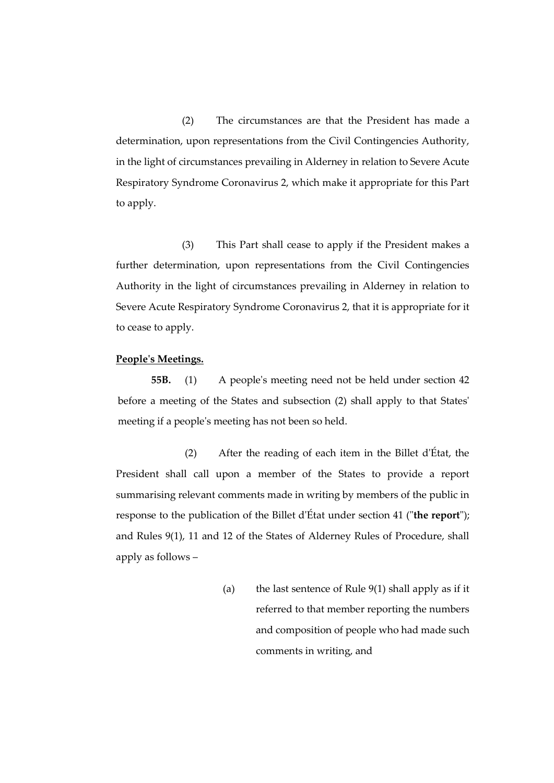(2) The circumstances are that the President has made a determination, upon representations from the Civil Contingencies Authority, in the light of circumstances prevailing in Alderney in relation to Severe Acute Respiratory Syndrome Coronavirus 2, which make it appropriate for this Part to apply.

(3) This Part shall cease to apply if the President makes a further determination, upon representations from the Civil Contingencies Authority in the light of circumstances prevailing in Alderney in relation to Severe Acute Respiratory Syndrome Coronavirus 2, that it is appropriate for it to cease to apply.

#### **People's Meetings.**

**55B.** (1) A people's meeting need not be held under section 42 before a meeting of the States and subsection (2) shall apply to that States' meeting if a people's meeting has not been so held.

(2) After the reading of each item in the Billet d'État, the President shall call upon a member of the States to provide a report summarising relevant comments made in writing by members of the public in response to the publication of the Billet d'État under section 41 ("**the report**"); and Rules 9(1), 11 and 12 of the States of Alderney Rules of Procedure, shall apply as follows –

> (a) the last sentence of Rule 9(1) shall apply as if it referred to that member reporting the numbers and composition of people who had made such comments in writing, and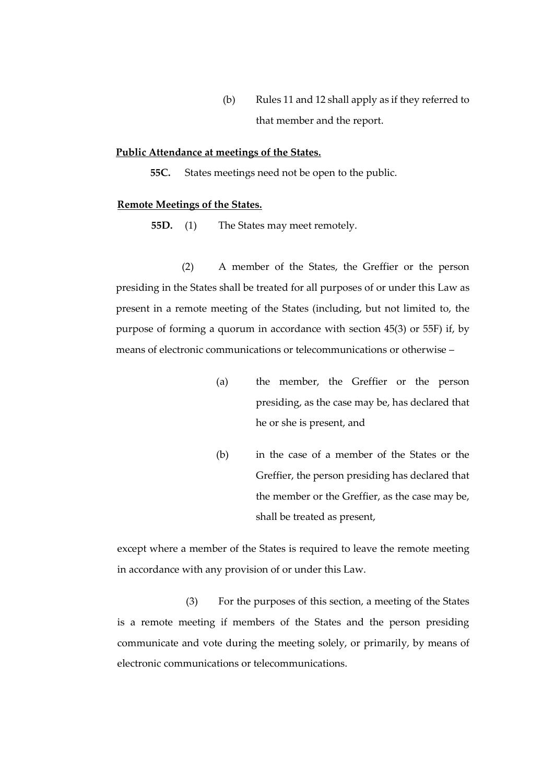(b) Rules 11 and 12 shall apply as if they referred to that member and the report.

#### **Public Attendance at meetings of the States.**

**55C.** States meetings need not be open to the public.

#### **Remote Meetings of the States.**

**55D.** (1) The States may meet remotely.

(2) A member of the States, the Greffier or the person presiding in the States shall be treated for all purposes of or under this Law as present in a remote meeting of the States (including, but not limited to, the purpose of forming a quorum in accordance with section 45(3) or 55F) if, by means of electronic communications or telecommunications or otherwise –

- (a) the member, the Greffier or the person presiding, as the case may be, has declared that he or she is present, and
- (b) in the case of a member of the States or the Greffier, the person presiding has declared that the member or the Greffier, as the case may be, shall be treated as present,

except where a member of the States is required to leave the remote meeting in accordance with any provision of or under this Law.

(3) For the purposes of this section, a meeting of the States is a remote meeting if members of the States and the person presiding communicate and vote during the meeting solely, or primarily, by means of electronic communications or telecommunications.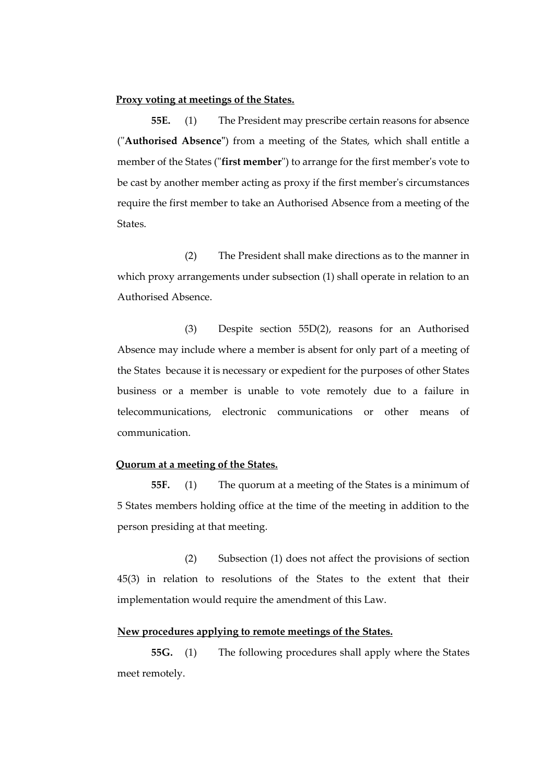#### **Proxy voting at meetings of the States.**

**55E.** (1) The President may prescribe certain reasons for absence ("**Authorised Absence"**) from a meeting of the States, which shall entitle a member of the States ("**first member**") to arrange for the first member's vote to be cast by another member acting as proxy if the first member's circumstances require the first member to take an Authorised Absence from a meeting of the States.

(2) The President shall make directions as to the manner in which proxy arrangements under subsection (1) shall operate in relation to an Authorised Absence.

(3) Despite section 55D(2), reasons for an Authorised Absence may include where a member is absent for only part of a meeting of the States because it is necessary or expedient for the purposes of other States business or a member is unable to vote remotely due to a failure in telecommunications, electronic communications or other means of communication.

#### **Quorum at a meeting of the States.**

**55F.** (1) The quorum at a meeting of the States is a minimum of 5 States members holding office at the time of the meeting in addition to the person presiding at that meeting.

(2) Subsection (1) does not affect the provisions of section 45(3) in relation to resolutions of the States to the extent that their implementation would require the amendment of this Law.

#### **New procedures applying to remote meetings of the States.**

**55G.** (1) The following procedures shall apply where the States meet remotely.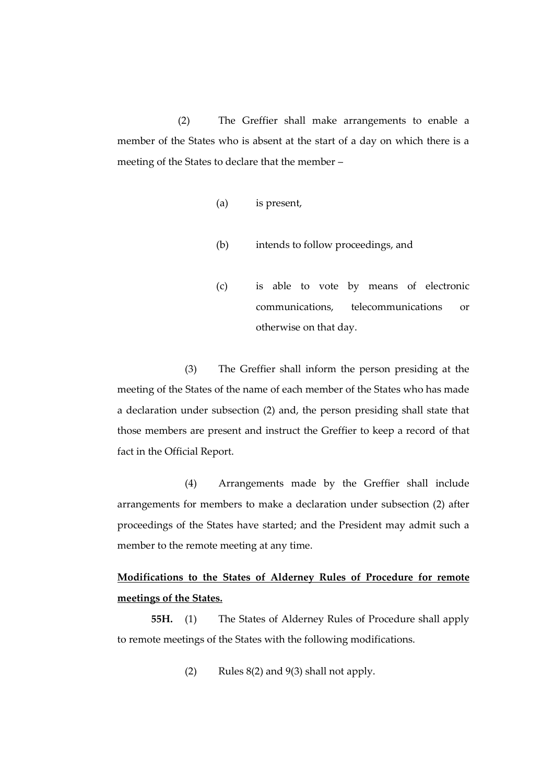(2) The Greffier shall make arrangements to enable a member of the States who is absent at the start of a day on which there is a meeting of the States to declare that the member –

- (a) is present,
- (b) intends to follow proceedings, and
- (c) is able to vote by means of electronic communications, telecommunications or otherwise on that day.

(3) The Greffier shall inform the person presiding at the meeting of the States of the name of each member of the States who has made a declaration under subsection (2) and, the person presiding shall state that those members are present and instruct the Greffier to keep a record of that fact in the Official Report.

(4) Arrangements made by the Greffier shall include arrangements for members to make a declaration under subsection (2) after proceedings of the States have started; and the President may admit such a member to the remote meeting at any time.

## **Modifications to the States of Alderney Rules of Procedure for remote meetings of the States.**

**55H.** (1) The States of Alderney Rules of Procedure shall apply to remote meetings of the States with the following modifications.

(2) Rules 8(2) and 9(3) shall not apply.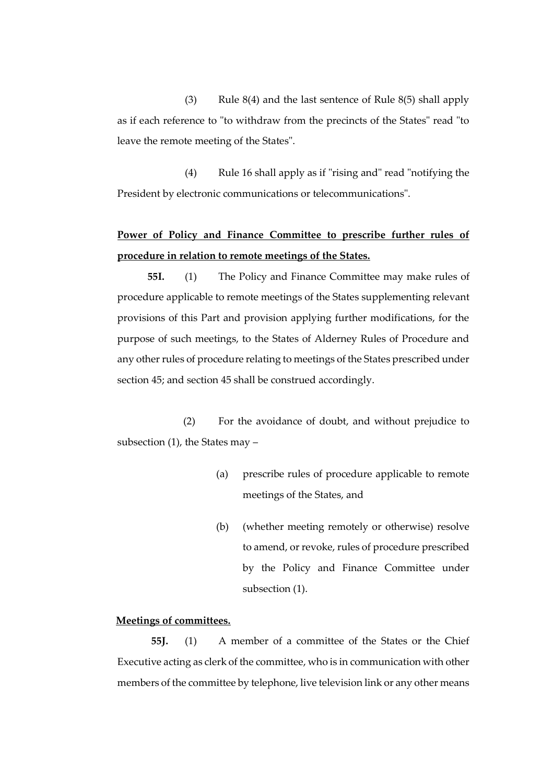(3) Rule  $8(4)$  and the last sentence of Rule  $8(5)$  shall apply as if each reference to "to withdraw from the precincts of the States" read "to leave the remote meeting of the States".

(4) Rule 16 shall apply as if "rising and" read "notifying the President by electronic communications or telecommunications".

## **Power of Policy and Finance Committee to prescribe further rules of procedure in relation to remote meetings of the States.**

**55I.** (1) The Policy and Finance Committee may make rules of procedure applicable to remote meetings of the States supplementing relevant provisions of this Part and provision applying further modifications, for the purpose of such meetings, to the States of Alderney Rules of Procedure and any other rules of procedure relating to meetings of the States prescribed under section 45; and section 45 shall be construed accordingly.

(2) For the avoidance of doubt, and without prejudice to subsection (1), the States may –

- (a) prescribe rules of procedure applicable to remote meetings of the States, and
- (b) (whether meeting remotely or otherwise) resolve to amend, or revoke, rules of procedure prescribed by the Policy and Finance Committee under subsection (1).

#### **Meetings of committees.**

**55J.** (1) A member of a committee of the States or the Chief Executive acting as clerk of the committee, who is in communication with other members of the committee by telephone, live television link or any other means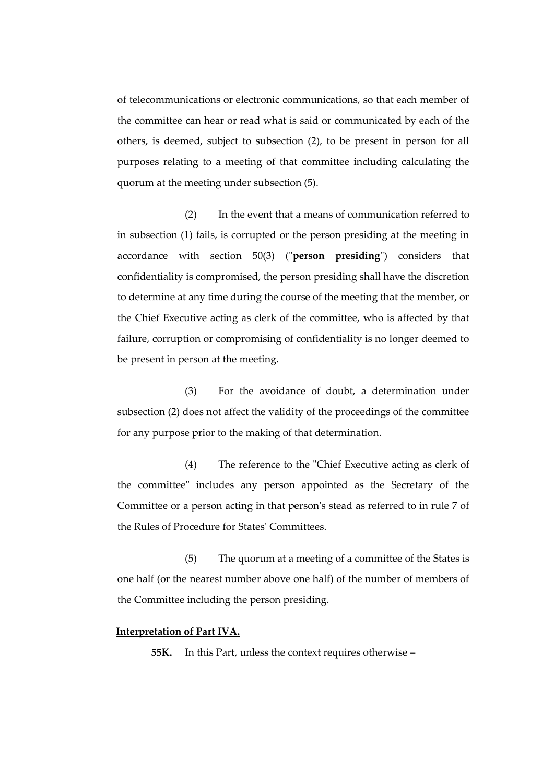of telecommunications or electronic communications, so that each member of the committee can hear or read what is said or communicated by each of the others, is deemed, subject to subsection (2), to be present in person for all purposes relating to a meeting of that committee including calculating the quorum at the meeting under subsection (5).

(2) In the event that a means of communication referred to in subsection (1) fails, is corrupted or the person presiding at the meeting in accordance with section 50(3) ("**person presiding**") considers that confidentiality is compromised, the person presiding shall have the discretion to determine at any time during the course of the meeting that the member, or the Chief Executive acting as clerk of the committee, who is affected by that failure, corruption or compromising of confidentiality is no longer deemed to be present in person at the meeting.

(3) For the avoidance of doubt, a determination under subsection (2) does not affect the validity of the proceedings of the committee for any purpose prior to the making of that determination.

(4) The reference to the "Chief Executive acting as clerk of the committee" includes any person appointed as the Secretary of the Committee or a person acting in that person's stead as referred to in rule 7 of the Rules of Procedure for States' Committees.

(5) The quorum at a meeting of a committee of the States is one half (or the nearest number above one half) of the number of members of the Committee including the person presiding.

#### **Interpretation of Part IVA.**

**55K.** In this Part, unless the context requires otherwise –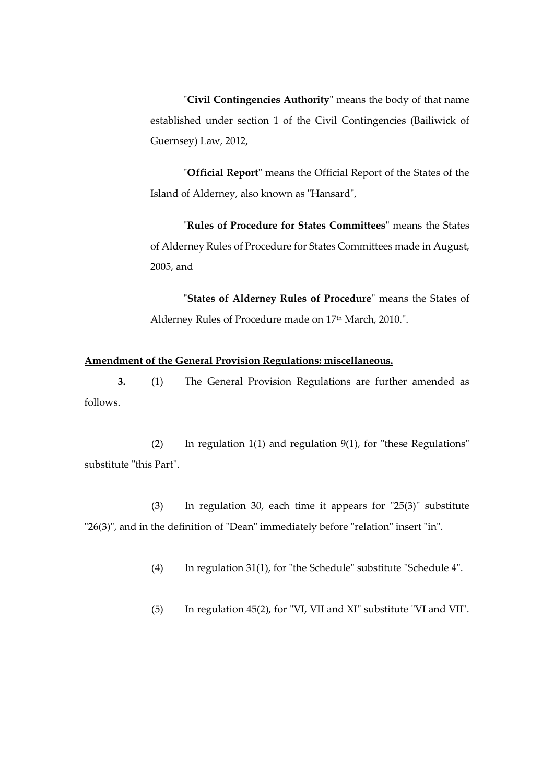"**Civil Contingencies Authority**" means the body of that name established under section 1 of the Civil Contingencies (Bailiwick of Guernsey) Law, 2012,

"**Official Report**" means the Official Report of the States of the Island of Alderney, also known as "Hansard",

"**Rules of Procedure for States Committees**" means the States of Alderney Rules of Procedure for States Committees made in August, 2005, and

**"States of Alderney Rules of Procedure**" means the States of Alderney Rules of Procedure made on 17<sup>th</sup> March, 2010.".

#### **Amendment of the General Provision Regulations: miscellaneous.**

**3.** (1) The General Provision Regulations are further amended as follows.

(2) In regulation 1(1) and regulation 9(1), for "these Regulations" substitute "this Part".

(3) In regulation 30, each time it appears for "25(3)" substitute "26(3)", and in the definition of "Dean" immediately before "relation" insert "in".

(4) In regulation 31(1), for "the Schedule" substitute "Schedule 4".

(5) In regulation 45(2), for "VI, VII and XI" substitute "VI and VII".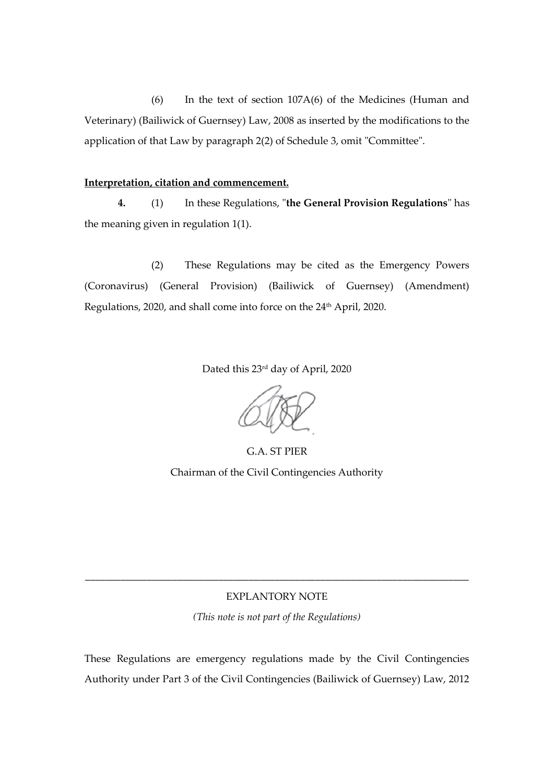(6) In the text of section 107A(6) of the Medicines (Human and Veterinary) (Bailiwick of Guernsey) Law, 2008 as inserted by the modifications to the application of that Law by paragraph 2(2) of Schedule 3, omit "Committee".

#### **Interpretation, citation and commencement.**

**4.** (1) In these Regulations, "**the General Provision Regulations**" has the meaning given in regulation 1(1).

(2) These Regulations may be cited as the Emergency Powers (Coronavirus) (General Provision) (Bailiwick of Guernsey) (Amendment) Regulations, 2020, and shall come into force on the 24<sup>th</sup> April, 2020.

Dated this 23rd day of April, 2020

G.A. ST PIER Chairman of the Civil Contingencies Authority

#### EXPLANTORY NOTE

\_\_\_\_\_\_\_\_\_\_\_\_\_\_\_\_\_\_\_\_\_\_\_\_\_\_\_\_\_\_\_\_\_\_\_\_\_\_\_\_\_\_\_\_\_\_\_\_\_\_\_\_\_\_\_\_\_\_\_\_\_\_\_\_\_\_\_\_\_\_\_\_\_\_\_

*(This note is not part of the Regulations)*

These Regulations are emergency regulations made by the Civil Contingencies Authority under Part 3 of the Civil Contingencies (Bailiwick of Guernsey) Law, 2012